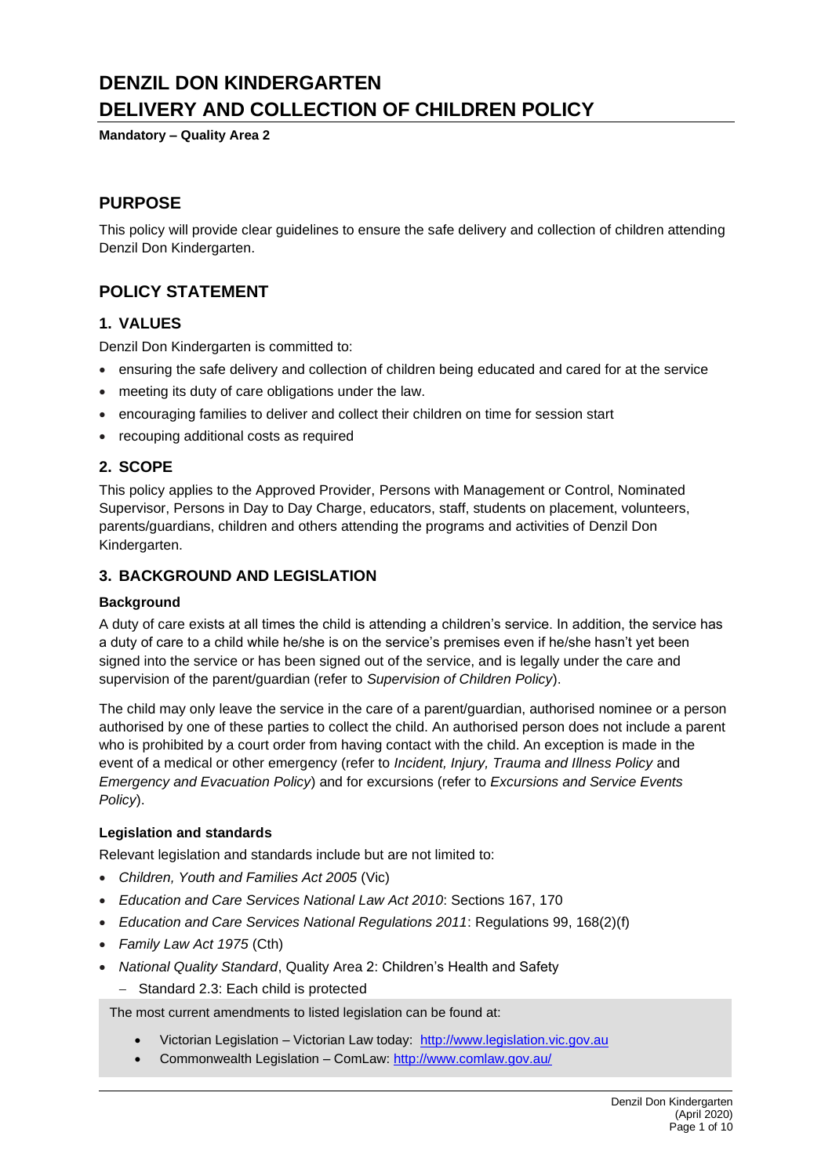# **DENZIL DON KINDERGARTEN DELIVERY AND COLLECTION OF CHILDREN POLICY**

**Mandatory – Quality Area 2**

# **PURPOSE**

This policy will provide clear guidelines to ensure the safe delivery and collection of children attending Denzil Don Kindergarten.

# **POLICY STATEMENT**

### **1. VALUES**

Denzil Don Kindergarten is committed to:

- ensuring the safe delivery and collection of children being educated and cared for at the service
- meeting its duty of care obligations under the law.
- encouraging families to deliver and collect their children on time for session start
- recouping additional costs as required

### **2. SCOPE**

This policy applies to the Approved Provider, Persons with Management or Control, Nominated Supervisor, Persons in Day to Day Charge, educators, staff, students on placement, volunteers, parents/guardians, children and others attending the programs and activities of Denzil Don Kindergarten.

### **3. BACKGROUND AND LEGISLATION**

#### **Background**

A duty of care exists at all times the child is attending a children's service. In addition, the service has a duty of care to a child while he/she is on the service's premises even if he/she hasn't yet been signed into the service or has been signed out of the service, and is legally under the care and supervision of the parent/guardian (refer to *Supervision of Children Policy*).

The child may only leave the service in the care of a parent/guardian, authorised nominee or a person authorised by one of these parties to collect the child. An authorised person does not include a parent who is prohibited by a court order from having contact with the child. An exception is made in the event of a medical or other emergency (refer to *Incident, Injury, Trauma and Illness Policy* and *Emergency and Evacuation Policy*) and for excursions (refer to *Excursions and Service Events Policy*).

### **Legislation and standards**

Relevant legislation and standards include but are not limited to:

- *Children, Youth and Families Act 2005* (Vic)
- *Education and Care Services National Law Act 2010*: Sections 167, 170
- *Education and Care Services National Regulations 2011*: Regulations 99, 168(2)(f)
- *Family Law Act 1975* (Cth)
- *National Quality Standard*, Quality Area 2: Children's Health and Safety
	- − Standard 2.3: Each child is protected

The most current amendments to listed legislation can be found at:

- Victorian Legislation Victorian Law today: [http://www.legislation.vic.gov.au](http://www.legislation.vic.gov.au/)
- Commonwealth Legislation ComLaw[: http://www.comlaw.gov.au/](http://www.comlaw.gov.au/)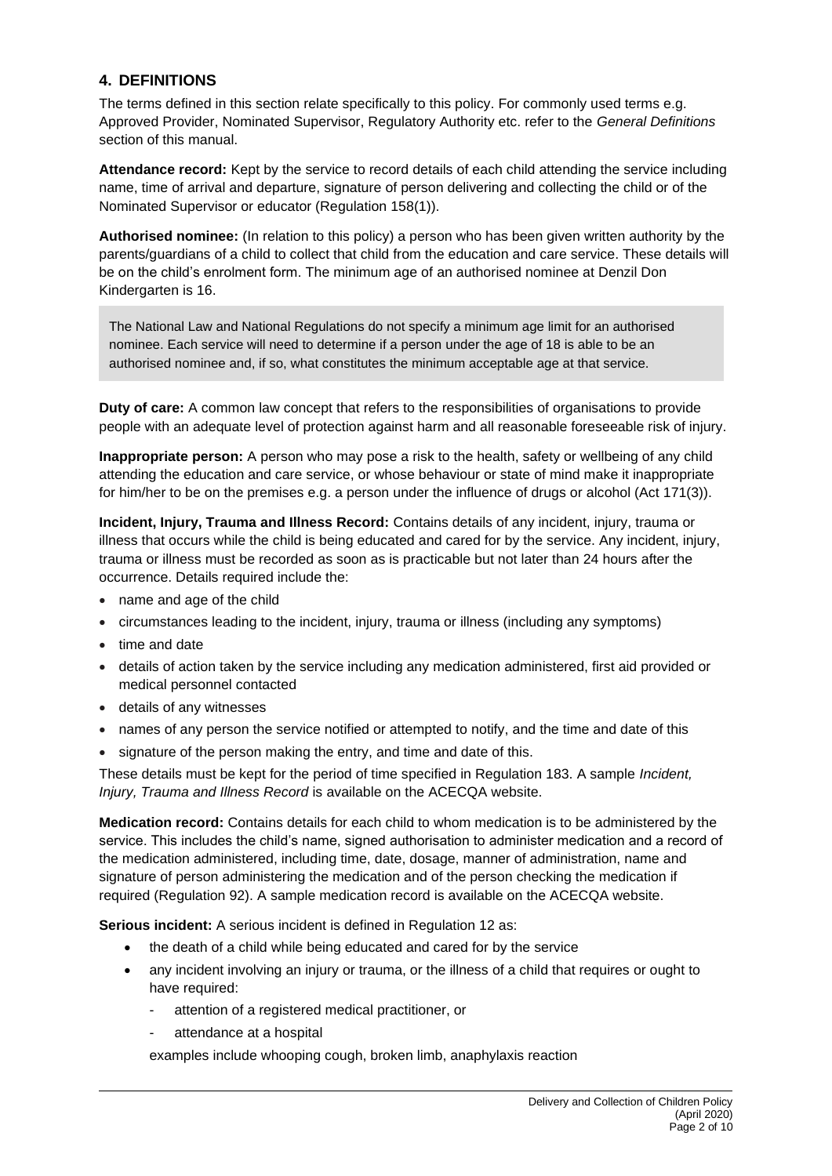### **4. DEFINITIONS**

The terms defined in this section relate specifically to this policy. For commonly used terms e.g. Approved Provider, Nominated Supervisor, Regulatory Authority etc. refer to the *General Definitions* section of this manual.

**Attendance record:** Kept by the service to record details of each child attending the service including name, time of arrival and departure, signature of person delivering and collecting the child or of the Nominated Supervisor or educator (Regulation 158(1)).

**Authorised nominee:** (In relation to this policy) a person who has been given written authority by the parents/guardians of a child to collect that child from the education and care service. These details will be on the child's enrolment form. The minimum age of an authorised nominee at Denzil Don Kindergarten is 16.

The National Law and National Regulations do not specify a minimum age limit for an authorised nominee. Each service will need to determine if a person under the age of 18 is able to be an authorised nominee and, if so, what constitutes the minimum acceptable age at that service.

**Duty of care:** A common law concept that refers to the responsibilities of organisations to provide people with an adequate level of protection against harm and all reasonable foreseeable risk of injury.

**Inappropriate person:** A person who may pose a risk to the health, safety or wellbeing of any child attending the education and care service, or whose behaviour or state of mind make it inappropriate for him/her to be on the premises e.g. a person under the influence of drugs or alcohol (Act 171(3)).

**Incident, Injury, Trauma and Illness Record:** Contains details of any incident, injury, trauma or illness that occurs while the child is being educated and cared for by the service. Any incident, injury, trauma or illness must be recorded as soon as is practicable but not later than 24 hours after the occurrence. Details required include the:

- name and age of the child
- circumstances leading to the incident, injury, trauma or illness (including any symptoms)
- time and date
- details of action taken by the service including any medication administered, first aid provided or medical personnel contacted
- details of any witnesses
- names of any person the service notified or attempted to notify, and the time and date of this
- signature of the person making the entry, and time and date of this.

These details must be kept for the period of time specified in Regulation 183. A sample *Incident, Injury, Trauma and Illness Record* is available on the ACECQA website.

**Medication record:** Contains details for each child to whom medication is to be administered by the service. This includes the child's name, signed authorisation to administer medication and a record of the medication administered, including time, date, dosage, manner of administration, name and signature of person administering the medication and of the person checking the medication if required (Regulation 92). A sample medication record is available on the ACECQA website.

**Serious incident:** A serious incident is defined in Regulation 12 as:

- the death of a child while being educated and cared for by the service
- any incident involving an injury or trauma, or the illness of a child that requires or ought to have required:
	- attention of a registered medical practitioner, or
	- attendance at a hospital

examples include whooping cough, broken limb, anaphylaxis reaction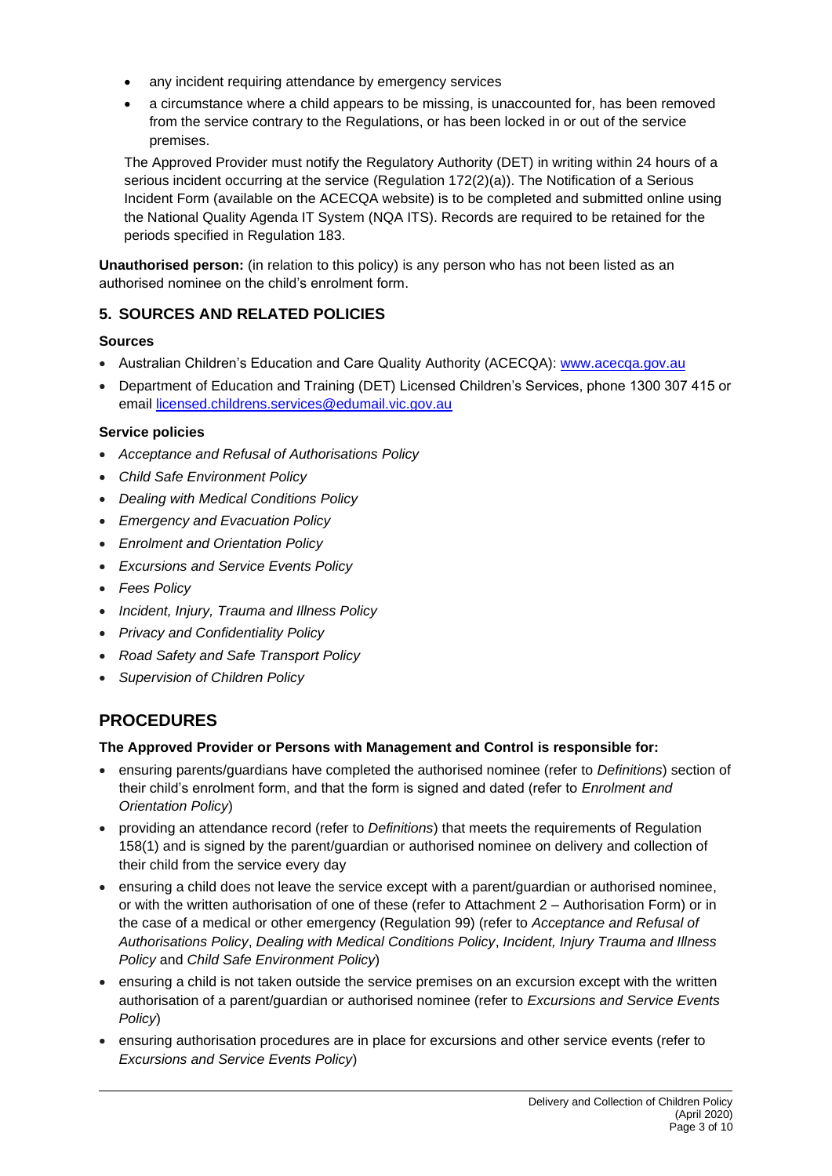- any incident requiring attendance by emergency services
- a circumstance where a child appears to be missing, is unaccounted for, has been removed from the service contrary to the Regulations, or has been locked in or out of the service premises.

The Approved Provider must notify the Regulatory Authority (DET) in writing within 24 hours of a serious incident occurring at the service (Regulation 172(2)(a)). The Notification of a Serious Incident Form (available on the ACECQA website) is to be completed and submitted online using the National Quality Agenda IT System (NQA ITS). Records are required to be retained for the periods specified in Regulation 183.

**Unauthorised person:** (in relation to this policy) is any person who has not been listed as an authorised nominee on the child's enrolment form.

# **5. SOURCES AND RELATED POLICIES**

# **Sources**

- Australian Children's Education and Care Quality Authority (ACECQA): [www.acecqa.gov.au](http://www.acecqa.gov.au/)
- Department of Education and Training (DET) Licensed Children's Services, phone 1300 307 415 or email [licensed.childrens.services@edumail.vic.gov.au](mailto:licensed.childrens.services@edumail.vic.gov.au)

# **Service policies**

- *Acceptance and Refusal of Authorisations Policy*
- *Child Safe Environment Policy*
- *Dealing with Medical Conditions Policy*
- *Emergency and Evacuation Policy*
- *Enrolment and Orientation Policy*
- *Excursions and Service Events Policy*
- *Fees Policy*
- *Incident, Injury, Trauma and Illness Policy*
- *Privacy and Confidentiality Policy*
- *Road Safety and Safe Transport Policy*
- *Supervision of Children Policy*

# **PROCEDURES**

### **The Approved Provider or Persons with Management and Control is responsible for:**

- ensuring parents/guardians have completed the authorised nominee (refer to *Definitions*) section of their child's enrolment form, and that the form is signed and dated (refer to *Enrolment and Orientation Policy*)
- providing an attendance record (refer to *Definitions*) that meets the requirements of Regulation 158(1) and is signed by the parent/guardian or authorised nominee on delivery and collection of their child from the service every day
- ensuring a child does not leave the service except with a parent/guardian or authorised nominee, or with the written authorisation of one of these (refer to Attachment 2 – Authorisation Form) or in the case of a medical or other emergency (Regulation 99) (refer to *Acceptance and Refusal of Authorisations Policy*, *Dealing with Medical Conditions Policy*, *Incident, Injury Trauma and Illness Policy* and *Child Safe Environment Policy*)
- ensuring a child is not taken outside the service premises on an excursion except with the written authorisation of a parent/guardian or authorised nominee (refer to *Excursions and Service Events Policy*)
- ensuring authorisation procedures are in place for excursions and other service events (refer to *Excursions and Service Events Policy*)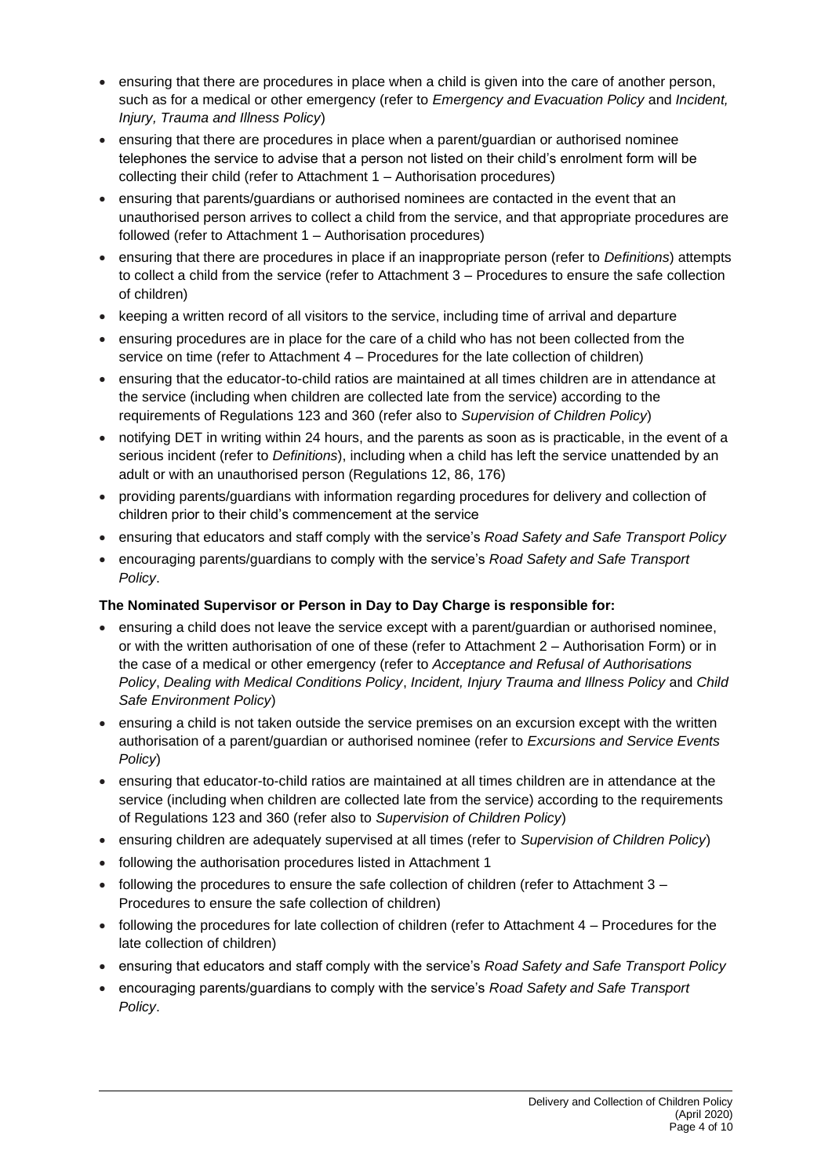- ensuring that there are procedures in place when a child is given into the care of another person, such as for a medical or other emergency (refer to *Emergency and Evacuation Policy* and *Incident, Injury, Trauma and Illness Policy*)
- ensuring that there are procedures in place when a parent/guardian or authorised nominee telephones the service to advise that a person not listed on their child's enrolment form will be collecting their child (refer to Attachment 1 – Authorisation procedures)
- ensuring that parents/guardians or authorised nominees are contacted in the event that an unauthorised person arrives to collect a child from the service, and that appropriate procedures are followed (refer to Attachment 1 – Authorisation procedures)
- ensuring that there are procedures in place if an inappropriate person (refer to *Definitions*) attempts to collect a child from the service (refer to Attachment 3 – Procedures to ensure the safe collection of children)
- keeping a written record of all visitors to the service, including time of arrival and departure
- ensuring procedures are in place for the care of a child who has not been collected from the service on time (refer to Attachment 4 – Procedures for the late collection of children)
- ensuring that the educator-to-child ratios are maintained at all times children are in attendance at the service (including when children are collected late from the service) according to the requirements of Regulations 123 and 360 (refer also to *Supervision of Children Policy*)
- notifying DET in writing within 24 hours, and the parents as soon as is practicable, in the event of a serious incident (refer to *Definitions*), including when a child has left the service unattended by an adult or with an unauthorised person (Regulations 12, 86, 176)
- providing parents/guardians with information regarding procedures for delivery and collection of children prior to their child's commencement at the service
- ensuring that educators and staff comply with the service's *Road Safety and Safe Transport Policy*
- encouraging parents/guardians to comply with the service's *Road Safety and Safe Transport Policy*.

# **The Nominated Supervisor or Person in Day to Day Charge is responsible for:**

- ensuring a child does not leave the service except with a parent/guardian or authorised nominee, or with the written authorisation of one of these (refer to Attachment 2 – Authorisation Form) or in the case of a medical or other emergency (refer to *Acceptance and Refusal of Authorisations Policy*, *Dealing with Medical Conditions Policy*, *Incident, Injury Trauma and Illness Policy* and *Child Safe Environment Policy*)
- ensuring a child is not taken outside the service premises on an excursion except with the written authorisation of a parent/guardian or authorised nominee (refer to *Excursions and Service Events Policy*)
- ensuring that educator-to-child ratios are maintained at all times children are in attendance at the service (including when children are collected late from the service) according to the requirements of Regulations 123 and 360 (refer also to *Supervision of Children Policy*)
- ensuring children are adequately supervised at all times (refer to *Supervision of Children Policy*)
- following the authorisation procedures listed in Attachment 1
- following the procedures to ensure the safe collection of children (refer to Attachment 3 Procedures to ensure the safe collection of children)
- following the procedures for late collection of children (refer to Attachment 4 Procedures for the late collection of children)
- ensuring that educators and staff comply with the service's *Road Safety and Safe Transport Policy*
- encouraging parents/guardians to comply with the service's *Road Safety and Safe Transport Policy*.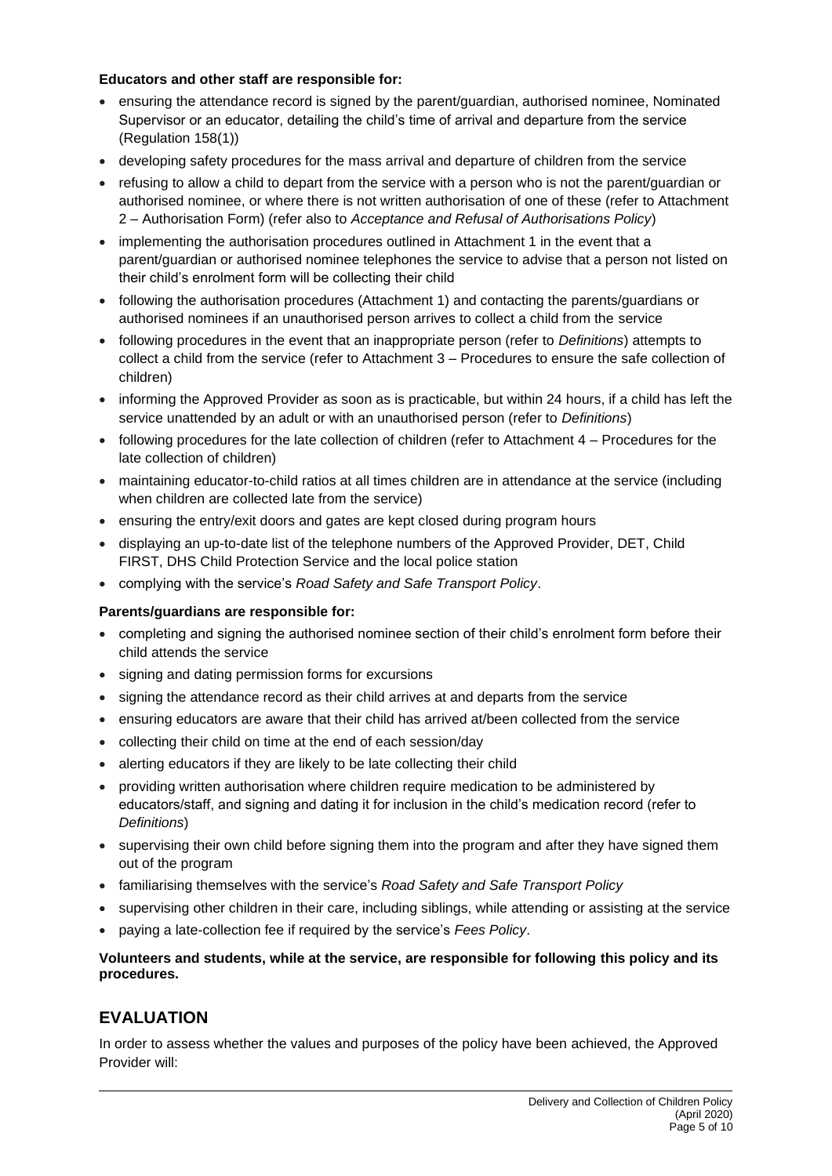#### **Educators and other staff are responsible for:**

- ensuring the attendance record is signed by the parent/guardian, authorised nominee, Nominated Supervisor or an educator, detailing the child's time of arrival and departure from the service (Regulation 158(1))
- developing safety procedures for the mass arrival and departure of children from the service
- refusing to allow a child to depart from the service with a person who is not the parent/guardian or authorised nominee, or where there is not written authorisation of one of these (refer to Attachment 2 – Authorisation Form) (refer also to *Acceptance and Refusal of Authorisations Policy*)
- implementing the authorisation procedures outlined in Attachment 1 in the event that a parent/guardian or authorised nominee telephones the service to advise that a person not listed on their child's enrolment form will be collecting their child
- following the authorisation procedures (Attachment 1) and contacting the parents/guardians or authorised nominees if an unauthorised person arrives to collect a child from the service
- following procedures in the event that an inappropriate person (refer to *Definitions*) attempts to collect a child from the service (refer to Attachment 3 – Procedures to ensure the safe collection of children)
- informing the Approved Provider as soon as is practicable, but within 24 hours, if a child has left the service unattended by an adult or with an unauthorised person (refer to *Definitions*)
- following procedures for the late collection of children (refer to Attachment 4 Procedures for the late collection of children)
- maintaining educator-to-child ratios at all times children are in attendance at the service (including when children are collected late from the service)
- ensuring the entry/exit doors and gates are kept closed during program hours
- displaying an up-to-date list of the telephone numbers of the Approved Provider, DET, Child FIRST, DHS Child Protection Service and the local police station
- complying with the service's *Road Safety and Safe Transport Policy*.

### **Parents/guardians are responsible for:**

- completing and signing the authorised nominee section of their child's enrolment form before their child attends the service
- signing and dating permission forms for excursions
- signing the attendance record as their child arrives at and departs from the service
- ensuring educators are aware that their child has arrived at/been collected from the service
- collecting their child on time at the end of each session/day
- alerting educators if they are likely to be late collecting their child
- providing written authorisation where children require medication to be administered by educators/staff, and signing and dating it for inclusion in the child's medication record (refer to *Definitions*)
- supervising their own child before signing them into the program and after they have signed them out of the program
- familiarising themselves with the service's *Road Safety and Safe Transport Policy*
- supervising other children in their care, including siblings, while attending or assisting at the service
- paying a late-collection fee if required by the service's *Fees Policy*.

#### **Volunteers and students, while at the service, are responsible for following this policy and its procedures.**

# **EVALUATION**

In order to assess whether the values and purposes of the policy have been achieved, the Approved Provider will: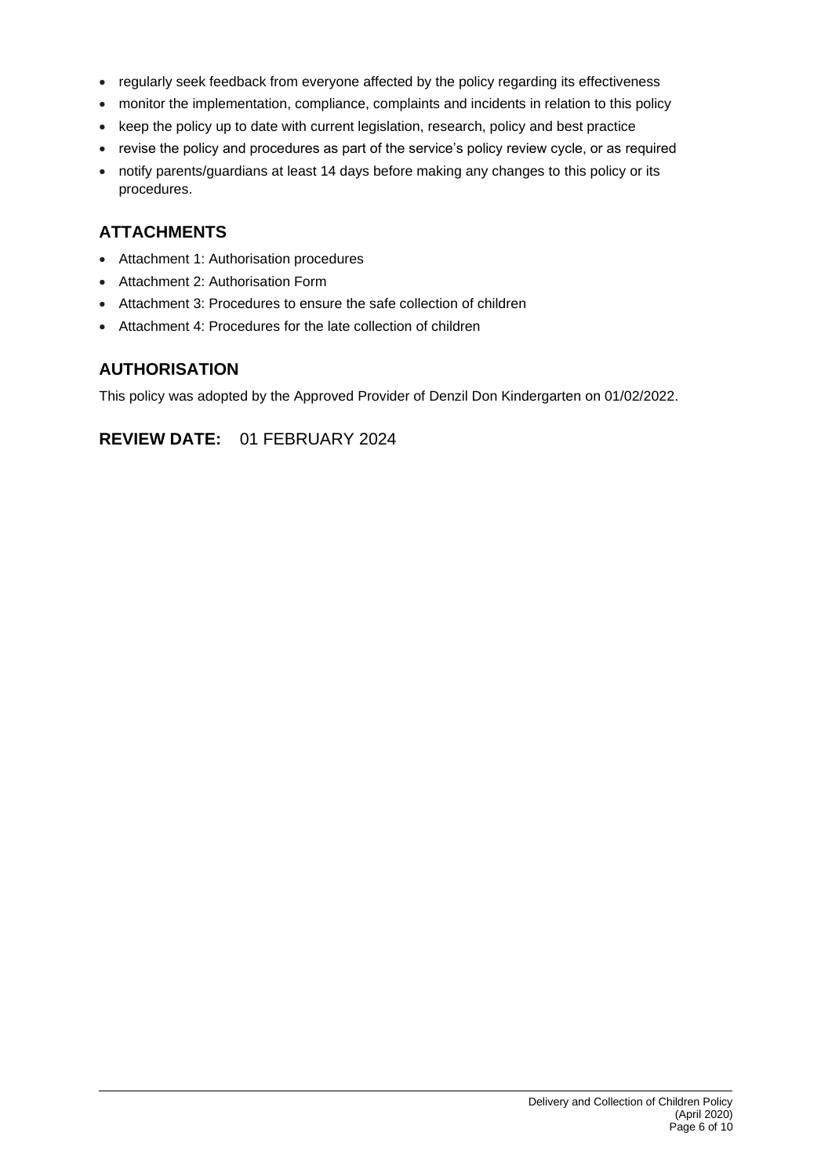- regularly seek feedback from everyone affected by the policy regarding its effectiveness
- monitor the implementation, compliance, complaints and incidents in relation to this policy
- keep the policy up to date with current legislation, research, policy and best practice
- revise the policy and procedures as part of the service's policy review cycle, or as required
- notify parents/guardians at least 14 days before making any changes to this policy or its procedures.

# **ATTACHMENTS**

- Attachment 1: Authorisation procedures
- Attachment 2: Authorisation Form
- Attachment 3: Procedures to ensure the safe collection of children
- Attachment 4: Procedures for the late collection of children

# **AUTHORISATION**

This policy was adopted by the Approved Provider of Denzil Don Kindergarten on 01/02/2022.

**REVIEW DATE:** 01 FEBRUARY 2024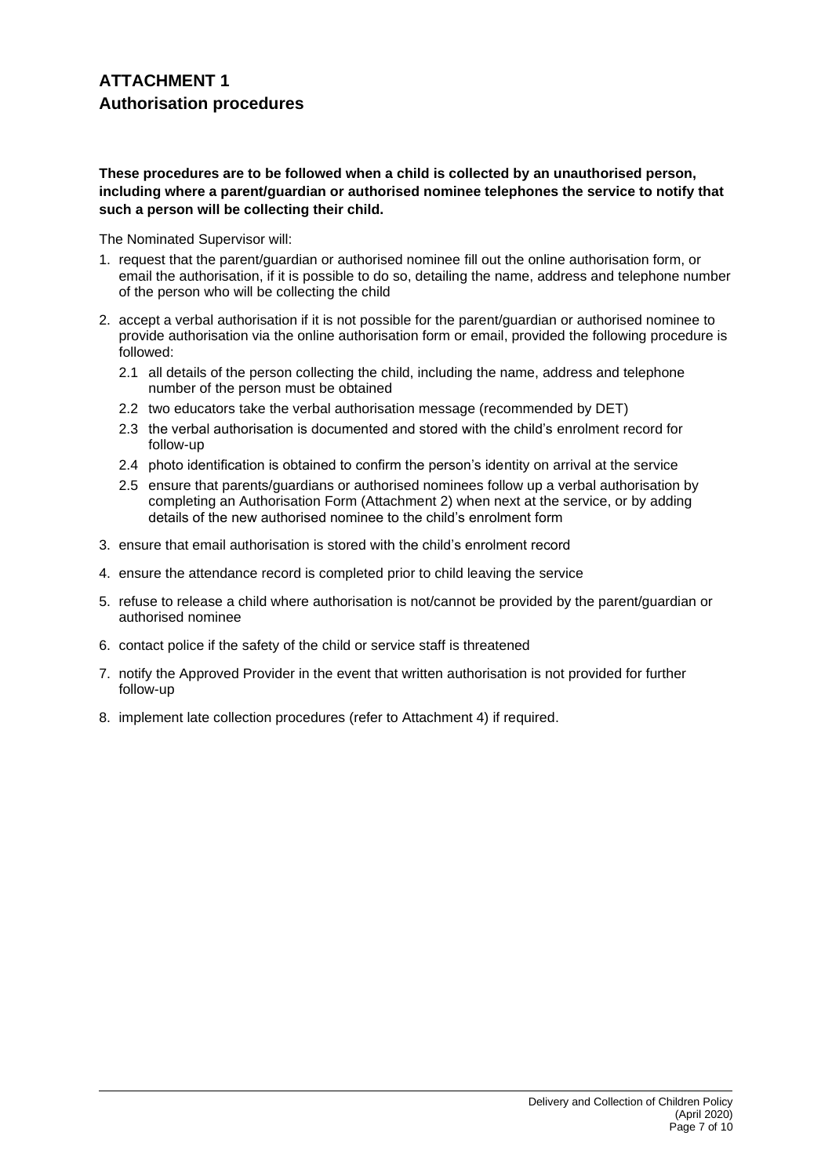#### **These procedures are to be followed when a child is collected by an unauthorised person, including where a parent/guardian or authorised nominee telephones the service to notify that such a person will be collecting their child.**

The Nominated Supervisor will:

- 1. request that the parent/guardian or authorised nominee fill out the online authorisation form, or email the authorisation, if it is possible to do so, detailing the name, address and telephone number of the person who will be collecting the child
- 2. accept a verbal authorisation if it is not possible for the parent/guardian or authorised nominee to provide authorisation via the online authorisation form or email, provided the following procedure is followed:
	- 2.1 all details of the person collecting the child, including the name, address and telephone number of the person must be obtained
	- 2.2 two educators take the verbal authorisation message (recommended by DET)
	- 2.3 the verbal authorisation is documented and stored with the child's enrolment record for follow-up
	- 2.4 photo identification is obtained to confirm the person's identity on arrival at the service
	- 2.5 ensure that parents/guardians or authorised nominees follow up a verbal authorisation by completing an Authorisation Form (Attachment 2) when next at the service, or by adding details of the new authorised nominee to the child's enrolment form
- 3. ensure that email authorisation is stored with the child's enrolment record
- 4. ensure the attendance record is completed prior to child leaving the service
- 5. refuse to release a child where authorisation is not/cannot be provided by the parent/guardian or authorised nominee
- 6. contact police if the safety of the child or service staff is threatened
- 7. notify the Approved Provider in the event that written authorisation is not provided for further follow-up
- 8. implement late collection procedures (refer to Attachment 4) if required.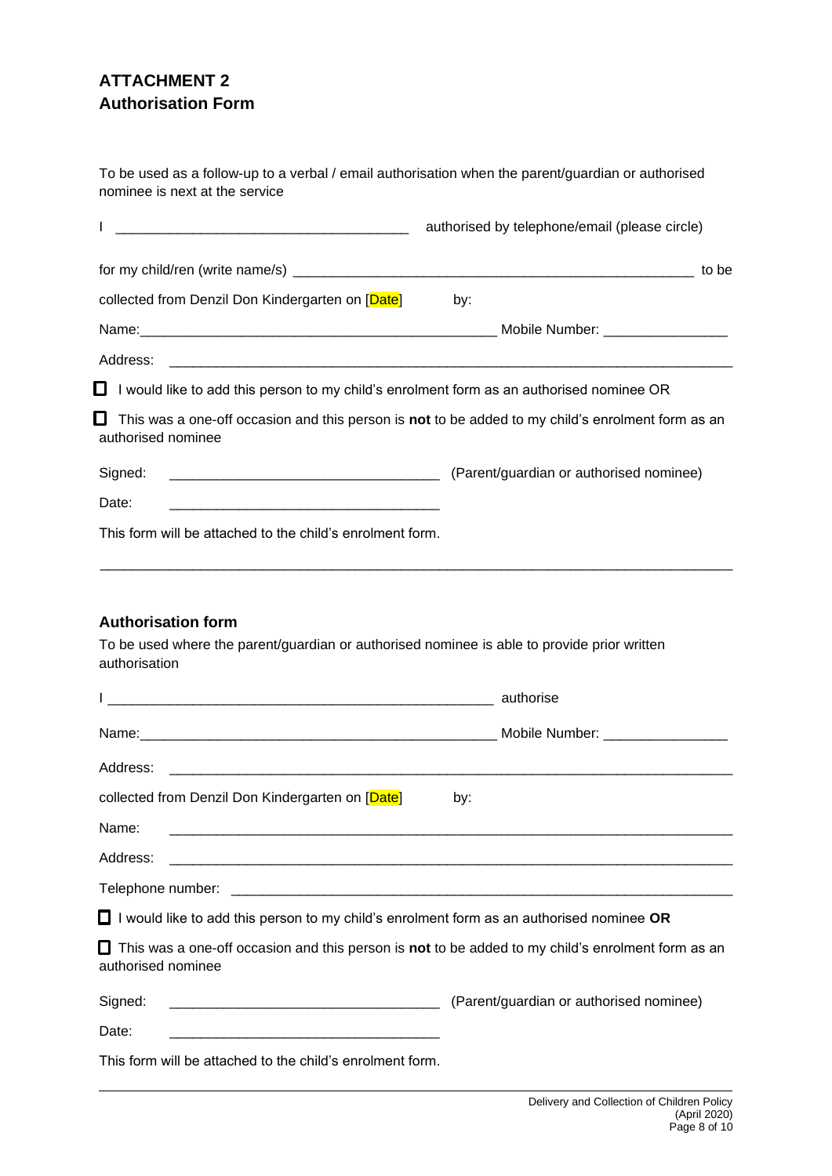# **ATTACHMENT 2 Authorisation Form**

To be used as a follow-up to a verbal / email authorisation when the parent/guardian or authorised nominee is next at the service

|                                                                                                | authorised by telephone/email (please circle)                                                     |
|------------------------------------------------------------------------------------------------|---------------------------------------------------------------------------------------------------|
|                                                                                                | to be                                                                                             |
| collected from Denzil Don Kindergarten on [Date]                                               | by:                                                                                               |
|                                                                                                |                                                                                                   |
| Address:                                                                                       |                                                                                                   |
| I would like to add this person to my child's enrolment form as an authorised nominee OR<br>O. |                                                                                                   |
| IJ<br>authorised nominee                                                                       | This was a one-off occasion and this person is not to be added to my child's enrolment form as an |
| Signed:                                                                                        | (Parent/guardian or authorised nominee)                                                           |
| Date:                                                                                          |                                                                                                   |
| This form will be attached to the child's enrolment form.                                      |                                                                                                   |
| <b>Authorisation form</b>                                                                      |                                                                                                   |
| To be used where the parent/guardian or authorised nominee is able to provide prior written    |                                                                                                   |
| authorisation                                                                                  |                                                                                                   |
|                                                                                                |                                                                                                   |
| Address:                                                                                       |                                                                                                   |
| collected from Denzil Don Kindergarten on [Date]                                               | by:                                                                                               |
| Name:                                                                                          |                                                                                                   |
| Address:                                                                                       |                                                                                                   |
|                                                                                                |                                                                                                   |
| I would like to add this person to my child's enrolment form as an authorised nominee OR       |                                                                                                   |
| authorised nominee                                                                             | This was a one-off occasion and this person is not to be added to my child's enrolment form as an |
| Signed:                                                                                        | (Parent/guardian or authorised nominee)                                                           |
| Date:                                                                                          |                                                                                                   |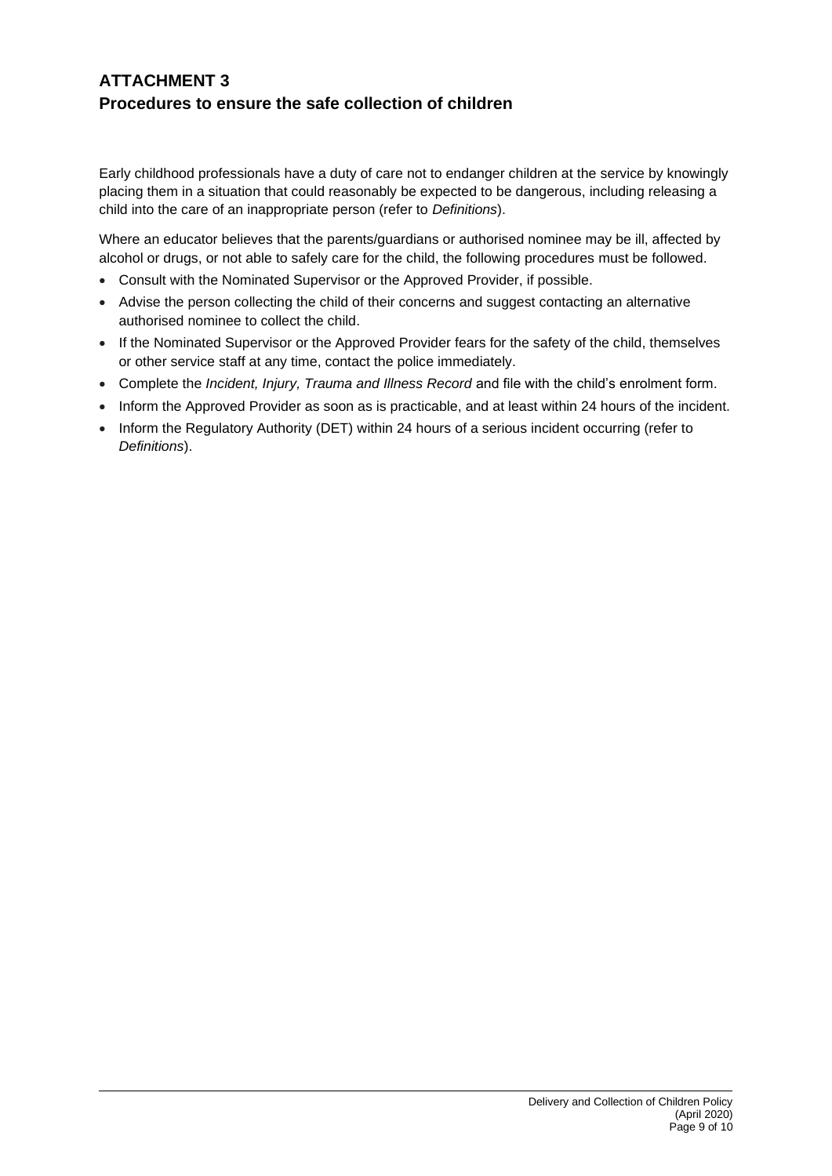# **ATTACHMENT 3 Procedures to ensure the safe collection of children**

Early childhood professionals have a duty of care not to endanger children at the service by knowingly placing them in a situation that could reasonably be expected to be dangerous, including releasing a child into the care of an inappropriate person (refer to *Definitions*).

Where an educator believes that the parents/guardians or authorised nominee may be ill, affected by alcohol or drugs, or not able to safely care for the child, the following procedures must be followed.

- Consult with the Nominated Supervisor or the Approved Provider, if possible.
- Advise the person collecting the child of their concerns and suggest contacting an alternative authorised nominee to collect the child.
- If the Nominated Supervisor or the Approved Provider fears for the safety of the child, themselves or other service staff at any time, contact the police immediately.
- Complete the *Incident, Injury, Trauma and Illness Record* and file with the child's enrolment form.
- Inform the Approved Provider as soon as is practicable, and at least within 24 hours of the incident.
- Inform the Regulatory Authority (DET) within 24 hours of a serious incident occurring (refer to *Definitions*).